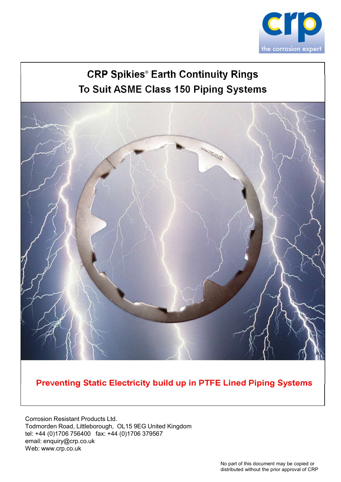

# CRP Spikies® Earth Continuity Rings To Suit ASME Class 150 Piping Systems



Preventing Static Electricity build up in PTFE Lined Piping Systems

Corrosion Resistant Products Ltd. Todmorden Road, Littleborough, OL15 9EG United Kingdom tel: +44 (0)1706 756400 fax: +44 (0)1706 379567 email: enquiry@crp.co.uk Web: www.crp.co.uk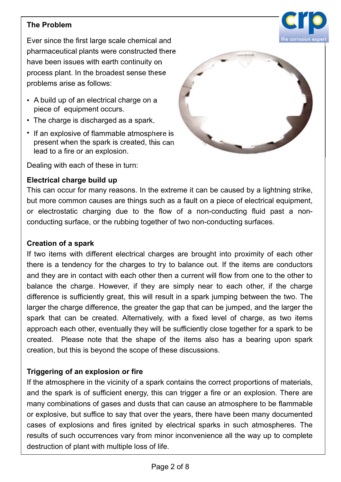# The Problem



- A build up of an electrical charge on a piece of equipment occurs.
- 
- If an explosive of flammable atmosphere is present when the spark is created, this can lead to a fire or an explosion.



process plant. In the bloadest sense these<br>problems arise as follows:<br>
piece of equipment occurs.<br>
• The charge is discharged as a spark.<br>
• If an explosive of flammable atmosphere is<br>
present when the spark is created, th • A build up of an electrical charge on a<br>
• The charge is discharged as a spark.<br>
• If an explosive of flammable atmosphere is<br>
present when the spark is created, this can<br>
lead to a fire or an explosion.<br>
Dealing with ea

is the many of equipment occurs.<br>
In the spark is created, this can<br>
lead to a fire or an explosion.<br>
Dealing with each of these in turn:<br>
Electrical charge build up<br>
This can occur for many reasons. In the extreme it can The charge is discharged as a spark.<br>
If an explosive of flammable atmosphere is<br>
present when the spark is created, this can<br>
lead to a fire or an explosion.<br>
Dealing with each of these in turn:<br>
Electrical charge build u • If an explosive of flammable atmosphere is<br>present when the spark is created, this can<br>lead to a fire or an explosion.<br>**Electrical charge build up**<br>This can occur for many reasons. In the extreme it can be caused by a li present when the spark is created, this can<br>
lead to a fire or an explosion.<br>
Dealing with each of these in turn:<br> **Electrical charge build up**<br>
This can occur for many reasons. In the extreme it can be caused by a lightni lead to a fire or an explosion.<br>
Dealing with each of these in turn:<br> **Electrical charge build up**<br>
This can occur for many reasons. In the extreme it can be caused by a lightning strike,<br>
but more common causes are things Dealing with each of these in turn:<br> **Electrical charge build up**<br>
This can occur for many reasons. In the extreme it can be caused by a lightning strike,<br>
but more common causes are things such as a fault on a piece of el Electrical charge build up<br>This can occur for many reasons. In the extreme it can be caused by a lightning strike,<br>but more common causes are things such as a fault on a piece of electrical equipment,<br>or electrostatic char Electrical charge build up<br>This can occur for many reasons. In the extreme it can be caused by a lightning strike,<br>This can occur for many reasons. In the extreme it can a piece of electrical equipment,<br>or electrostatic ch The same otection of many reasons. In the exame it can be called by a night mind on the common causes are things such as a fault on a piece of electrical equipment, for electrostatic charging due to the flow of a non-condu but more common causes are unitys such as a radiit on a piece of electrical equipment,<br>or electrostatic charging due to the flow of a non-conducting fluid past a non-<br>conducting surface, or the rubbing together of two non-Conducting surface, or the rubbing logetier of two intre-conducting surfaces.<br> **Creation of a spark**<br>
If two items with different electrical charges are brought into proximity of each other<br>
there is a tendency for the cha **Creation of a spark**<br>If two items with different electrical charges are brought into proximity of each other<br>there is a tendency for the charges to try to balance out. If the items are conductors<br>and they are in contact w Creation of a spark is of the stark is of sugar and the space of explosive, the stark is of sum any different energy for the charges to try to balance out. If the items are conductors and they are in contact with each oth many combine the election and the spatial complet through that can constrained they are in contact with each other then a current will flow from one to the other to balance the charge. However, if they are simply near to e Triguer is a telliently for the Granges to thy to batatue of the the till flow from one to the other to balance the charge. However, if they are simply near to each other, if the charge difference is sufficiently great, th and they are throuthat while activitate their a current with more to the other the charge difference is sufficiently great, this will result in a spark jumping between the two. The larger the charge difference, the greater

but the care cally the the carge. The two are surply then to each other, in the clange the charge difference is sufficiently great, this will result in a spark jumping between the two. The larger the charge difference, the ultimetine is solutionary given, this with result for a spaint jumpiply givewell for the wollthere approach each other, eventually they will be sufficiently close together for a spark to be spreader. Please note that the s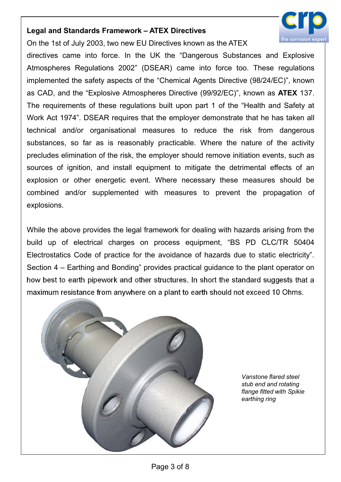

Legal and Standards Framework – ATEX Directives<br>On the 1st of July 2003, two new EU Directives known as the ATEX<br>directives came into force. In the UK the "Dangerous Substances and Explosive<br>Atmospheres Requisions 2002" (D Legal and Standards Framework – ATEX Directives<br>
On the 1st of July 2003, two new EU Directives known as the ATEX<br>
directives came into force. In the UK the "Dangerous Substances and Explosive<br>
Atmospheres Regulations 2002 Legal and Standards Framework – ATEX Directives<br>
On the 1st of July 2003, two new EU Directives known as the ATEX<br>
directives came into force. In the UK the "Dangerous Substances and Explosive<br>
Atmospheres Regulations 2002 Legal and Standards Framework – ATEX Directives<br>
On the 1st of July 2003, two new EU Directives known as the ATEX<br>
directives came into force. In the UK the "Dangerous Substances and Explosive<br>
Atmospheres Regulations 2002 Legal and Standards Framework – ATEX Directives<br>
On the 1st of July 2003, two new EU Directives known as the ATEX<br>
directives came into force. In the UK the "Dangerous Substances and Explosive<br>
Atmospheres Regulations 2002 Legal and Standards Framework – ATEX Directives<br>
On the 1st of July 2003, two new EU Directives known as the ATEX<br>
directives came into force. In the UK the "Dangerous Substances and Explosive<br>
Atmospheres Regulations 2002 Legal and Standards Framework – ATEX Directives<br>
On the 1st of July 2003, two new EU Directives known as the ATEX<br>
directives came into force. In the UK the "Dangerous Substances and Explosive<br>
Atmospheres Regulations 2002 Legal and Standards Framework – ATEX Directives<br>
On the 1st of July 2003, two new EU Directives known as the ATEX<br>
directives came into force. In the UK the "Dangerous Substances and Explosive<br>
Atmospheres Regulations 2002 Legal and Standards Framework – ATEX Directives<br>
On the 1st of July 2003, two new EU Directives known as the ATEX<br>
directives came into force. In the UK the "Dangerous Substances and Explosive<br>
Atmospheres Regulations 2002 **Legal and Standards Framework – ATEX Directives**<br>
On the 1st of July 2003, two new EU Directives known as the ATEX<br>
directives came into force. In the UK the "Dangerous Substances and Explosive<br>
Atmospheres Regulations 20 Legal and Standards Framework – ATEX Directives<br>
On the 1st of July 2003, two new EU Directives known as the ATEX<br>
directives came into force. In the UK the "Dangerous Substances and Explosive<br>
Atmospheres Regulations 2002 Legal and Standards Framework – ATEX Directives<br>
On the 1st of July 2003, two new EU Directives known as the ATEX<br>
directives came into force. In the UK the "Dangerous Substances and Explosive<br>
Atmospheres Regulations 2002 Legal and standards Framework – ATEX Directives<br>
On the 1st of July 2003, two new EU Directives known as the ATEX<br>
directives came into force. In the UK the "Dangerous Substances and Explosive<br>
Atmospheres Regulations 2002 Ori the ist of Judy 2000, two riew ED Diectives known as the ATEX<br>directives came into force. In the UK the "Dangerous Substances and Explosive<br>Atmospheres Regulations 2002" (DSEAR) came into force too. These regulations<br>i explosions. mplemented the salety aspects of the chelmical Agents bifectore (90/24/EC), known<br>as CAD, and the "Explosive Atmospheres Directive (99/92/EC)", known as **ATEX** 137.<br>The requirements of these regulations built upon part 1 o as CAD, and the Explosive Atmospheres Directive (3932/CC), Khown as ATEX 137.<br>The requirements of these regulations built upon part 1 of the "Helalth and Safety at<br>Work Act 1974". DSEAR requires that the employer demonstra The requirements of these regulators built upon part 1 of the Freatur and Safety at<br>Work Act 1974". DSEAR requires that the employer demonstrate that he has taken all<br>technical and/or organisational measures to reduce the Woln Act 1974. DSEAN requires that the employer dentotistate that the risk distert and technical and/or organisational measures to reduce the risk from dangerous substances, so far as is reasonably practicable. Where the n How best and the results and the results are the results to reduce the risk from dangerous<br>substances, so far as is reasonably practicable. Where the nature of the activity<br>precludes elimination of the risk, the employer s

substances, so rar as is reasonably practicable. Where the italite or the activity precludes elimination of the risk, the employer should remove initiation events, such as sources of ignition, and install equipment to miti



Vanstone flared steel stub end and rotating flange fitted with Spikie earthing ring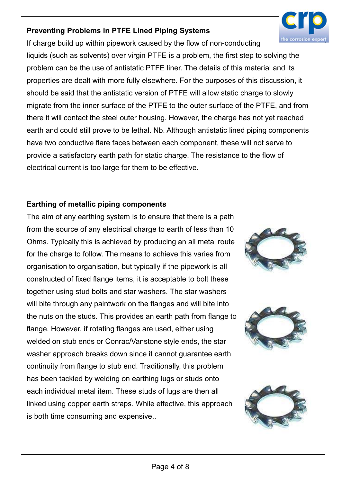# Preventing Problems in PTFE Lined Piping Systems



If charge build up within pipework caused by the flow of non-conducting liquids (such as solvents) over virgin PTFE is a problem, the first step to solving the problem can be the use of antistatic PTFE liner. The details of this material and its properties are dealt with more fully elsewhere. For the purposes of this discussion, it should be said that the antistatic version of PTFE will allow static charge to slowly migrate from the inner surface of the PTFE to the outer surface of the PTFE, and from there it will contact the steel outer housing. However, the charge has not yet reached earth and could still prove to be lethal. Nb. Although antistatic lined piping components have two conductive flare faces between each component, these will not serve to provide a satisfactory earth path for static charge. The resistance to the flow of electrical current is too large for them to be effective.

## Earthing of metallic piping components

The aim of any earthing system is to ensure that there is a path from the source of any electrical charge to earth of less than 10 Ohms. Typically this is achieved by producing an all metal route for the charge to follow. The means to achieve this varies from organisation to organisation, but typically if the pipework is all constructed of fixed flange items, it is acceptable to bolt these together using stud bolts and star washers. The star washers will bite through any paintwork on the flanges and will bite into the nuts on the studs. This provides an earth path from flange to flange. However, if rotating flanges are used, either using welded on stub ends or Conrac/Vanstone style ends, the star washer approach breaks down since it cannot guarantee earth continuity from flange to stub end. Traditionally, this problem has been tackled by welding on earthing lugs or studs onto each individual metal item. These studs of lugs are then all linked using copper earth straps. While effective, this approach is both time consuming and expensive..





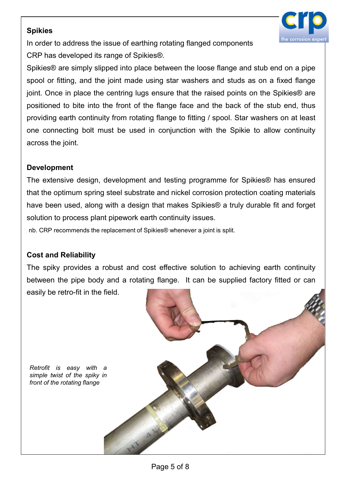### **Spikies**



Spikies<br>
In order to address the issue of earthing rotating flanged components<br>
CRP has developed its range of Spikies®.<br>
Spikies® are simply slipped into place between the loose flange and stub end on a pipe<br>
spool or fit Spikies<br>
In order to address the issue of earthing rotating flanged components<br>
CRP has developed its range of Spikies®.<br>
Spikies® are simply slipped into place between the loose flange and stub end on a pipe<br>
spool or fit Spikies<br>
In order to address the issue of earthing rotating flanged components<br>
CRP has developed its range of Spikies®.<br>
Spikies® are simply slipped into place between the loose flange and stub end on a pipe<br>
spool or fit Spikies<br>
In order to address the issue of earthing rotating flanged components<br>
CRP has developed its range of Spikies®.<br>
Spikies® are simply slipped into place between the loose flange and stub end on a pipe<br>
spool or fit Spikies<br>In order to address the issue of earthing rotating flanged components<br>CRP has developed its range of Spikies®.<br>Spikies® are simply slipped into place between the loose flange and stub end on a pipe<br>spool or fitting Spikies<br>
In order to address the issue of earthing rotating flanged components<br>
CRP has developed its range of Spikies®.<br>
Spikies® are simply slipped into place between the loose flange and stub end on a pipe<br>
spool or fit **Spikies**<br>
In order to address the issue of earthing rotating flanged components<br>
CRP has developed its range of Spikies®.<br>
Spikies® are simply slipped into place between the loose flange and stub end on a pipe<br>
spool or f **Spikies**<br>
In order to address the issue of earthing rotating flanged components<br>
CRP has developed its range of Spikies®.<br>
Spikies® are simply slipped into place between the loose flange and stub end on a pipe<br>
spool or f **Spikies**<br>
In order to address the issue of earthing rotating flanged components<br>
CRP has developed its range of Spikies®.<br>
Spikies® are simply slipped into place between the loose flange and<br>
spool or fitting, and the joi **Spikies®**<br>
In order to address the issue of earthing rotating flanged components<br>
CRP has developed its range of Spikies®.<br>
Spikies® are simply slipped into place between the loose flange and stub end on a pipe<br>
spool or The care is the issue of Spikies®.<br>
CRP has developed its range of Spikies®.<br>
Spikies® are simply slipped into place between the loose flange and stub end on a pipe<br>
spool or fitting, and the joint made using star washers CRET Has developed its lange of optices.<br>
Spikies® are simply slipped into place between the loose flange and stub end on a pipe<br>
spool or fitting, and the joint made using star washers and studs as on a fixed flange<br>
join spiness are simply supped into place between the loose hange anto stud end on a pipe<br>spool or fitting, and the joint made using star washers and studs as on a fixed flange<br>joint. Once in place the centring lugs ensure that show or intering, and the joint indue using star washes and study as on a liked nange of the photon in the photon in the fance that the raised points on the Spikies® are ositioned to bite into the finnt of the flange face

### Development

positioned to bite into the inotic of the hange face and the back of providing earth continuity from rotating flange to fitting / spool. Star<br>one connecting bolt must be used in conjunction with the Spikia<br>across the joint The spiky provides a robust and cost effective solution to achieving earth continuity<br>across the joint.<br> **Development**<br>
The extensive design, development and testing programme for Spikies® has ensured<br>
that the optimum spr between the pipe body and a rotating flange. It can be supplied factory fitted or can<br>easily be retro-fit in the field.<br>The extensive design, development and testing programme for Spikies® has ensured<br>that the optimum spri Development<br>
The extensive design, development and testing programme for Spikies® has a<br>
that the optimum spring steel substrate and nickel corrosion protection coating m<br>
have been used, along with a design that makes Spi

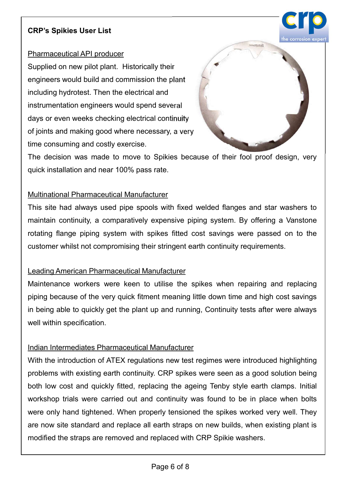CRP's Spikies User List<br>
Pharmaceutical API producer<br>
Supplied on new pilot plant. Historically their<br>
engineers would build and commission the plant<br>
including budgeteet. Then the electrical and CRP's Spikies User List<br>
Pharmaceutical API producer<br>
Supplied on new pilot plant. Historically their<br>
including hydrotest. Then the electrical and<br>
instrumentation engineers would spend several<br>
days or even weeks checkin CRP's Spikies User List<br>
Pharmaceutical API producer<br>
Supplied on new pilot plant. Historically their<br>
rengineers would build and commission the plant<br>
including hydrotest. Then the electrical and<br>
instrumentation engineer CRP's Spikies User List<br>
Pharmaceutical API producer<br>
Supplied on new pilot plant. Historically their<br>
engineers would build and commission the plant<br>
including hydrotest. Then the electrical and<br>
instrumentation engineers **CRP's Spikies User List**<br> **Pharmaceutical API producer**<br>
Supplied on new pilot plant. Historically their<br>
including hydrotest. Then the electrical and<br>
instrumentation engineers would spend several<br>
days or even weeks che CRP's Spikies User List<br>
Pharmaceutical API producer<br>
Supplied on new pilot plant. Historically their<br>
engineers would build and commission the plant<br>
including hydrotest. Then the electrical and<br>
instrumentation engineers CRP's Spikies User List<br>
Pharmaceutical API producer<br>
Supplied on new pilot plant. Historically their<br>
rengineers would build and commission the plant<br>
including hydrotest. Then the electrical and<br>
instrumentation engineer CRP's Spikies User List<br>
Pharmaceutical API producer<br>
Supplied on new pilot plant. Historically their<br>
engineers would build and commission the plant<br>
including hydrotest. Then the electrical and<br>
instrumentation engineers Pharmaceutical API producer<br>
Supplied on new pilot plant. Historically their<br>
engineers would build and commission the plant<br>
including hydrotest. Then the electrical and<br>
instrumentation engineers would spend several<br>
day Supplied on new pilot plant. Historically their<br>
engineers would build and commission the plant<br>
including hydrotest. Then the electrical and<br>
instrumentation engineers would spend several<br>
days or even weeks checking elec



engineers would build and commission the plant<br>including hydrotest. Then the electrical and<br>instrumentation engineers would spend several<br>days or even weeks checking electrical continuity<br>of joints and making good where ne including hydrotest. Then the electrical and<br>instrumentation engineers would spend several<br>days or even weeks checking electrical continuity<br>of joints and making good where necessary, a very<br>time consuming and costly exerc instrumentation engineers would spend several<br>days or even weeks checking electrical continuity<br>of joints and making good where necessary, a very<br>time consuming and costly exercise.<br>The decision was made to move to Spikies of joints and making good where necessary, a very<br>time consuming and costly exercise.<br>
The decision was made to move to Spikies because of their fool proof design, very<br>
quick installation and near 100% pass rate.<br>
Multina time consuming and costly exercise.<br>
The decision was made to move to Spikies because of their fool proof design, very<br>
quick installation and near 100% pass rate.<br>
Multinational Pharmaceutical Manufacturer<br>
This site had The decision was made to move to Spikies because of their fool proof design, very<br>quick installation and near 100% pass rate.<br>Multinational Pharmaceutical Manufacturer<br>This site had always used pipe spools with fixed welde quick installation and near 100% pass rate.<br>
Multinational Pharmaceutical Manufacturer<br>
This site had always used pipe spools with fixed welded flanges and star washers to<br>
maintain continuity, a comparatively expensive pi Multinational Pharmaceutical Manufacturer<br>This site had always used pipe spools with fixed welded flanges a<br>maintain continuity, a comparatively expensive piping system. By<br>rotating flange piping system with spikes fitted This site had always used pipe spools with fixed welded flanges and star washers to<br>maintain continuity, a comparatively expensive piping system. By offering a Vanstone<br>rotating flange piping system with spikes fitted cost

maintain continuity, a comparatively expensive piping system. By offering a Vanstone<br>rotating flange piping system with spikes fitted cost savings were passed on to the<br>customer whilst not compromising their stringent eart

problems with existing earth continuity and the spikes were passed on to the customer whilst not compromising their stringent earth continuity requirements.<br>
Leading American Pharmaceutical Manufacturer<br>
Maintenance worker customer whilst not compromising their stringent earth continuity requirements.<br>
Leading American Pharmaceutical Manufacturer<br>
Maintenance workers were keen to utilise the spikes when repairing and replacing<br>
piping becaus Leading American Pharmaceutical Manufacturer<br>Maintenance workers were keen to utilise the spikes when repairing and replacing<br>piping because of the very quick fitment meaning little down time and high cost savings<br>in being Leading American Pharmaceutical Manufacturer<br>Maintenance workers were keen to utilise the spikes when repairing and replacing<br>piping because of the very quick fitment meaning little down time and high cost savings<br>in being Maintenance workers were keen to utilise the spikes when repairing and replacing<br>piping because of the very quick fitment meaning little down time and high cost savings<br>in being able to quickly get the plant up and running pligming because of the very quick fitment meaning little down time and high cost savings<br>in being able to quickly get the plant up and running, Continuity tests after were always<br>well within specification.<br>Indian Intermed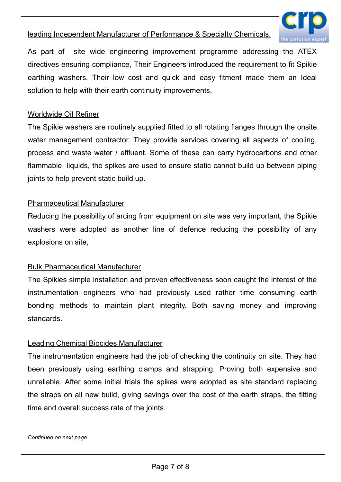

leading Independent Manufacturer of Performance & Specialty Chemicals.<br>As part of site wide engineering improvement programme addressing the ATEX<br>directives ensuring compliance, Their Engineers introduced the requirement t Leading Independent Manufacturer of Performance & Specialty Chemicals.<br>As part of site wide engineering improvement programme addressing the ATEX directives ensuring compliance, Their Engineers introduced the requirement t Leading Independent Manufacturer of Performance & Specialty Chemicals.<br>As part of site wide engineering improvement programme addressing the ATEX<br>directives ensuring compliance, Their Engineers introduced the requirement t leading Independent Manufacturer of Performance & Specialty Chemicals.<br>As part of site wide engineering improvement programme addressing the ATEX<br>directives ensuring compliance, Their Engineers introduced the requirement t leading Independent Manufacturer of Performance & Specialty Chemicals.<br>As part of site wide engineering improvement programme addressing the ATEX<br>directives ensuring compliance, Their Engineers introduced the requirement t leading Independent Manufacturer of Performance & Specialty Chemical<br>As part of site wide engineering improvement programme addres<br>directives ensuring compliance, Their Engineers introduced the require<br>earthing washers. Th Eeading Independent Manufacturer of Performance & Specialty Chemicals.<br>
As part of site wide engineering improvement programme addressing the ATEX<br>
directives ensuring compliance, Their Engineers introduced the requirement

Example in the video engineering improvement programme addressing the ATEX<br>As part of site wide engineering improvement programme addressing the ATEX<br>directives ensuring compliance, Their Engineers introduced the requireme **Example Independent Manufacturer of Performance & Specialty Chemicals.**<br>As part of site wide engineering improvement programme addressing the ATEX directives ensuring compliance, Their Engineers introduced the requirement Frammable liquids, the spikes are used to ensure static cannot build up between piping<br>
Proportion expanding variance, Their Engineers introduced the requirement to fit Spikie<br>
earthing washers. Their low cost and quick an leading Independent Manufacturer of Performance & Specialty Chemicals.<br>
As part of site wide engineering improvement programme addressing the ATEX<br>
directives ensuring compliance, Their Engineers introduced the requirement Part of the time only interesting improvince the projection of the directives ensuring compliance, Their Engineers introduced the requirement<br>hing washers. Their low cost and quick and easy fitment made<br>solution to help wi earthing washers. Their low cost and quick and easy fitment made them an Ideal<br>solution to help with their earth continuity improvements,<br>Worldwide Oil Refiner<br>The Spikie washers are routinely supplied fitted to all rotati was another with their earth continuity improvements,<br>solution to help with their earth continuity improvements,<br>Worldwide Oil Refiner<br>The Spikie washers are routinely supplied fitted to all rotating flanges through the on Worldwide Oil Refiner<br>
The Spikie washers are routinely supplied fitted to all rotating flanges the<br>
water management contractor. They provide services covering all as<br>
process and waste water / effluent. Some of these can The Spikie washers are routinely supplied fitted to all rotating flanges through<br>water management contractor. They provide services covering all aspects c<br>process and waste water / effluent. Some of these can carry hydroca water management contractor. They provide services covering all aspects of cooling,<br>process and waste water / effluent. Some of these can carry hydrocarbons and other<br>flammable liquids, the spikes are used to ensure static

process and waste water / effluent. Some of these can carry hydrocarbons and other<br>flammable liquids, the spikes are used to ensure static cannot build up between piping<br>joints to help prevent static build up.<br>Pharmaceutic Frammable liquids, the spikes are used to ensure static cannot build up between piping<br>pionts to help prevent static build up.<br>Pharmaceutical Manufacturer<br>Reducing the possibility of arcing from equipment on site was very standards. Pharmaceutical Manufacturer<br>
Reducing the possibility of arcing from equipment on site was very important, the Sp<br>
washers were adopted as another line of defence reducing the possibility of<br>
explosions on site,<br>
Bulk Phar Reducing the possibility of arcing from equipment on site was very important, the Spikie<br>washers were adopted as another line of defence reducing the possibility of any<br>explosions on site,<br>Bulk Pharmaceutical Manufacturer<br>

washers were adopted as another line of defence reducing the possibility of any<br>explosions on site,<br>Bulk Pharmaceutical Manufacturer<br>The Spikies simple installation and proven effectiveness soon caught the interest of the<br> explosions on site,<br>
Bulk Pharmaceutical Manufacturer<br>
The Spikies simple installation and proven effectiveness soon caught the interest of the<br>
instrumentation engineers who had previously used rather time consuming earth Bulk Pharmaceutical Manufacturer<br>The Spikies simple installation and proven effectiveness soon caught the interest of the<br>instrumentation engineers who had previously used rather time consuming earth<br>bonding methods to mai Bulk Pharmaceutical Manufacturer<br>The Spikies simple installation and proven effectiveness soon caught the interest of the<br>instrumentation engineers who had previously used rather time consuming earth<br>bonding methods to mai instrumentation engineers who had previously used rather time conding methods to maintain plant integrity. Both saving money standards.<br>
<u>Leading Chemical Biocides Manufacturer</u><br>
The instrumentation engineers had the job o